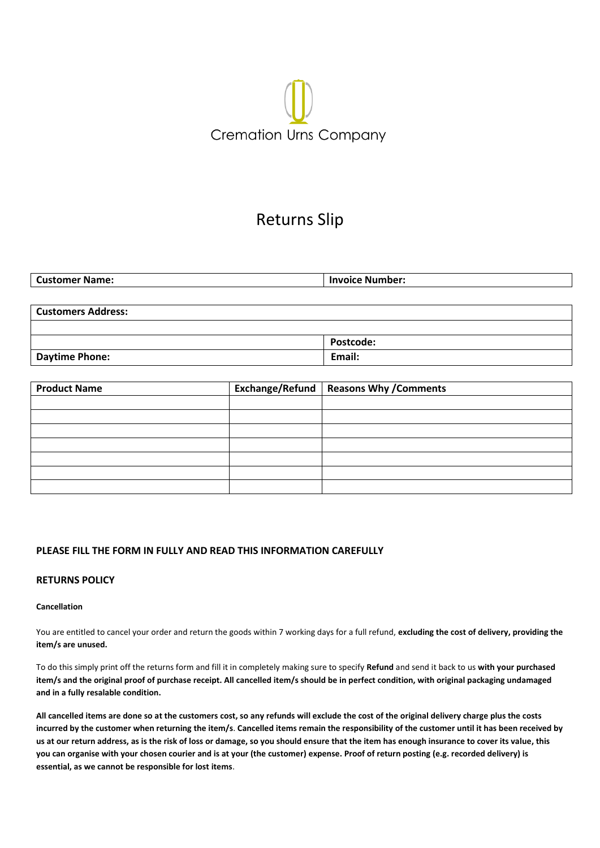# **Cremation Urns Company**

# Returns Slip

| <b>Customer Name:</b>     | <b>Invoice Number:</b> |
|---------------------------|------------------------|
|                           |                        |
| <b>Customers Address:</b> |                        |
|                           |                        |
|                           | Postcode:              |
| <b>Daytime Phone:</b>     | Email:                 |

| <b>Product Name</b> | Exchange/Refund   Reasons Why / Comments |
|---------------------|------------------------------------------|
|                     |                                          |
|                     |                                          |
|                     |                                          |
|                     |                                          |
|                     |                                          |
|                     |                                          |
|                     |                                          |

# **PLEASE FILL THE FORM IN FULLY AND READ THIS INFORMATION CAREFULLY**

# **RETURNS POLICY**

### **Cancellation**

You are entitled to cancel your order and return the goods within 7 working days for a full refund, **excluding the cost of delivery, providing the item/s are unused.**

To do this simply print off the returns form and fill it in completely making sure to specify **Refund** and send it back to us **with your purchased item/s and the original proof of purchase receipt. All cancelled item/s should be in perfect condition, with original packaging undamaged and in a fully resalable condition.**

**All cancelled items are done so at the customers cost, so any refunds will exclude the cost of the original delivery charge plus the costs incurred by the customer when returning the item/s**. **Cancelled items remain the responsibility of the customer until it has been received by us at our return address, as is the risk of loss or damage, so you should ensure that the item has enough insurance to cover its value, this you can organise with your chosen courier and is at your (the customer) expense. Proof of return posting (e.g. recorded delivery) is essential, as we cannot be responsible for lost items**.